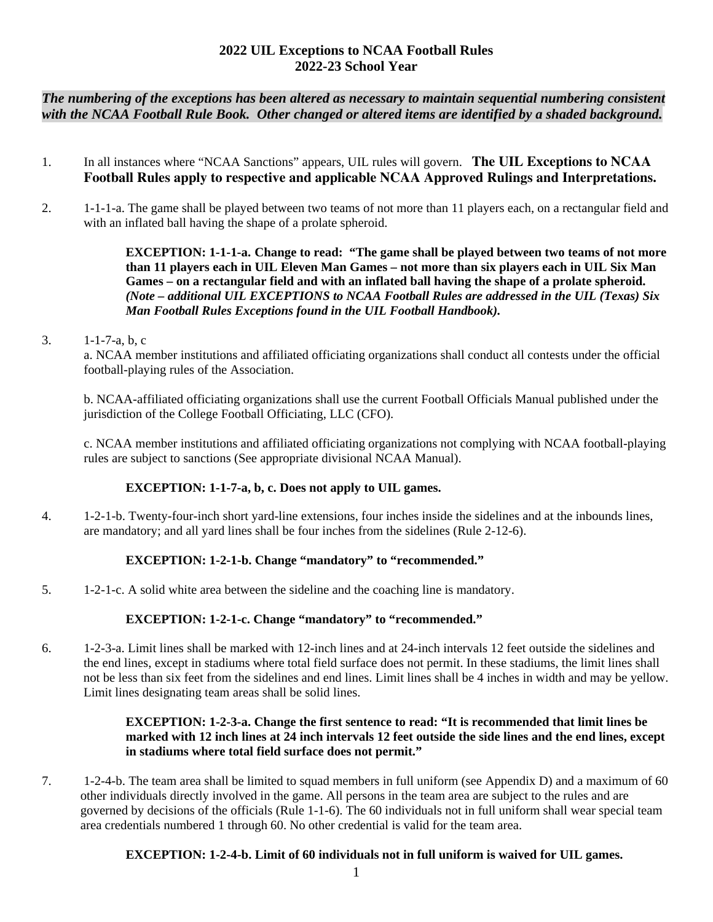## **2022 UIL Exceptions to NCAA Football Rules 2022-23 School Year**

*The numbering of the exceptions has been altered as necessary to maintain sequential numbering consistent with the NCAA Football Rule Book. Other changed or altered items are identified by a shaded background.* 

- 1. In all instances where "NCAA Sanctions" appears, UIL rules will govern. **The UIL Exceptions to NCAA Football Rules apply to respective and applicable NCAA Approved Rulings and Interpretations.**
- 2. 1-1-1-a. The game shall be played between two teams of not more than 11 players each, on a rectangular field and with an inflated ball having the shape of a prolate spheroid.

**EXCEPTION: 1-1-1-a. Change to read: "The game shall be played between two teams of not more than 11 players each in UIL Eleven Man Games – not more than six players each in UIL Six Man Games – on a rectangular field and with an inflated ball having the shape of a prolate spheroid.**  *(Note – additional UIL EXCEPTIONS to NCAA Football Rules are addressed in the UIL (Texas) Six Man Football Rules Exceptions found in the UIL Football Handbook).* 

3. 1-1-7-a, b, c

a. NCAA member institutions and affiliated officiating organizations shall conduct all contests under the official football-playing rules of the Association.

b. NCAA-affiliated officiating organizations shall use the current Football Officials Manual published under the jurisdiction of the College Football Officiating, LLC (CFO).

c. NCAA member institutions and affiliated officiating organizations not complying with NCAA football-playing rules are subject to sanctions (See appropriate divisional NCAA Manual).

# **EXCEPTION: 1-1-7-a, b, c. Does not apply to UIL games.**

4. 1-2-1-b. Twenty-four-inch short yard-line extensions, four inches inside the sidelines and at the inbounds lines, are mandatory; and all yard lines shall be four inches from the sidelines (Rule 2-12-6).

# **EXCEPTION: 1-2-1-b. Change "mandatory" to "recommended."**

5. 1-2-1-c. A solid white area between the sideline and the coaching line is mandatory.

## **EXCEPTION: 1-2-1-c. Change "mandatory" to "recommended."**

6. 1-2-3-a. Limit lines shall be marked with 12-inch lines and at 24-inch intervals 12 feet outside the sidelines and the end lines, except in stadiums where total field surface does not permit. In these stadiums, the limit lines shall not be less than six feet from the sidelines and end lines. Limit lines shall be 4 inches in width and may be yellow. Limit lines designating team areas shall be solid lines.

## **EXCEPTION: 1-2-3-a. Change the first sentence to read: "It is recommended that limit lines be marked with 12 inch lines at 24 inch intervals 12 feet outside the side lines and the end lines, except in stadiums where total field surface does not permit."**

7. 1-2-4-b. The team area shall be limited to squad members in full uniform (see Appendix D) and a maximum of 60 other individuals directly involved in the game. All persons in the team area are subject to the rules and are governed by decisions of the officials (Rule 1-1-6). The 60 individuals not in full uniform shall wear special team area credentials numbered 1 through 60. No other credential is valid for the team area.

# **EXCEPTION: 1-2-4-b. Limit of 60 individuals not in full uniform is waived for UIL games.**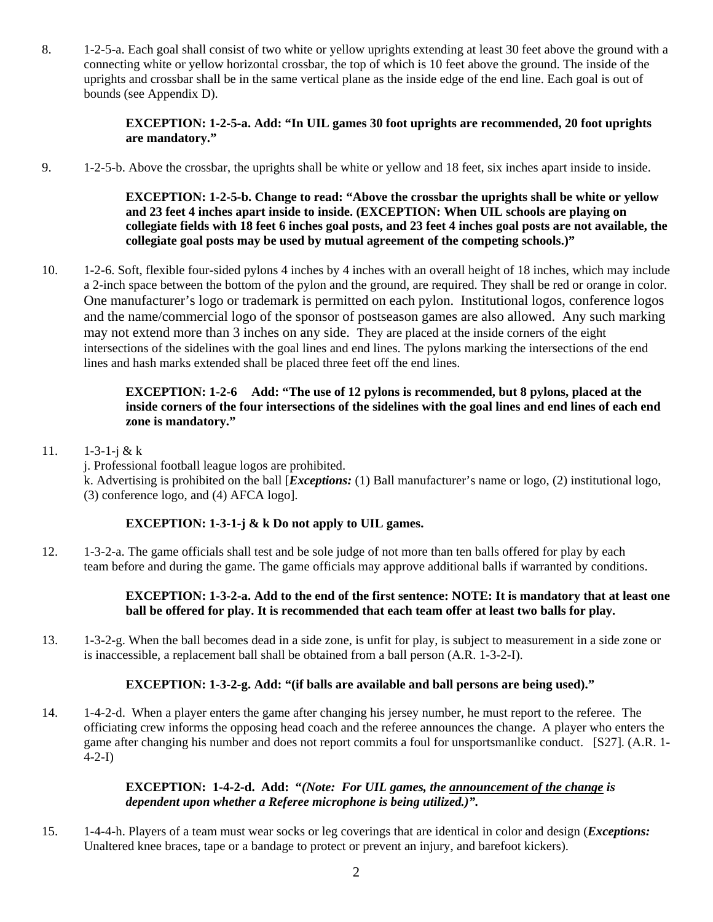8. 1-2-5-a. Each goal shall consist of two white or yellow uprights extending at least 30 feet above the ground with a connecting white or yellow horizontal crossbar, the top of which is 10 feet above the ground. The inside of the uprights and crossbar shall be in the same vertical plane as the inside edge of the end line. Each goal is out of bounds (see Appendix D).

### **EXCEPTION: 1-2-5-a. Add: "In UIL games 30 foot uprights are recommended, 20 foot uprights are mandatory."**

9. 1-2-5-b. Above the crossbar, the uprights shall be white or yellow and 18 feet, six inches apart inside to inside.

**EXCEPTION: 1-2-5-b. Change to read: "Above the crossbar the uprights shall be white or yellow and 23 feet 4 inches apart inside to inside. (EXCEPTION: When UIL schools are playing on collegiate fields with 18 feet 6 inches goal posts, and 23 feet 4 inches goal posts are not available, the collegiate goal posts may be used by mutual agreement of the competing schools.)"** 

10. 1-2-6. Soft, flexible four-sided pylons 4 inches by 4 inches with an overall height of 18 inches, which may include a 2-inch space between the bottom of the pylon and the ground, are required. They shall be red or orange in color. One manufacturer's logo or trademark is permitted on each pylon. Institutional logos, conference logos and the name/commercial logo of the sponsor of postseason games are also allowed. Any such marking may not extend more than 3 inches on any side. They are placed at the inside corners of the eight intersections of the sidelines with the goal lines and end lines. The pylons marking the intersections of the end lines and hash marks extended shall be placed three feet off the end lines.

## **EXCEPTION: 1-2-6 Add: "The use of 12 pylons is recommended, but 8 pylons, placed at the inside corners of the four intersections of the sidelines with the goal lines and end lines of each end zone is mandatory."**

11.  $1-3-1-i & k k$ 

j. Professional football league logos are prohibited. k. Advertising is prohibited on the ball [*Exceptions:* (1) Ball manufacturer's name or logo, (2) institutional logo, (3) conference logo, and (4) AFCA logo].

## **EXCEPTION: 1-3-1-j & k Do not apply to UIL games.**

12. 1-3-2-a. The game officials shall test and be sole judge of not more than ten balls offered for play by each team before and during the game. The game officials may approve additional balls if warranted by conditions.

### **EXCEPTION: 1-3-2-a. Add to the end of the first sentence: NOTE: It is mandatory that at least one ball be offered for play. It is recommended that each team offer at least two balls for play.**

13. 1-3-2-g. When the ball becomes dead in a side zone, is unfit for play, is subject to measurement in a side zone or is inaccessible, a replacement ball shall be obtained from a ball person (A.R. 1-3-2-I).

## **EXCEPTION: 1-3-2-g. Add: "(if balls are available and ball persons are being used)."**

14. 1-4-2-d. When a player enters the game after changing his jersey number, he must report to the referee. The officiating crew informs the opposing head coach and the referee announces the change. A player who enters the game after changing his number and does not report commits a foul for unsportsmanlike conduct.[S27]. (A.R. 1- 4-2-I)

### **EXCEPTION: 1-4-2-d. Add: "***(Note: For UIL games, the announcement of the change is dependent upon whether a Referee microphone is being utilized.)".*

15. 1-4-4-h. Players of a team must wear socks or leg coverings that are identical in color and design (*Exceptions:*  Unaltered knee braces, tape or a bandage to protect or prevent an injury, and barefoot kickers).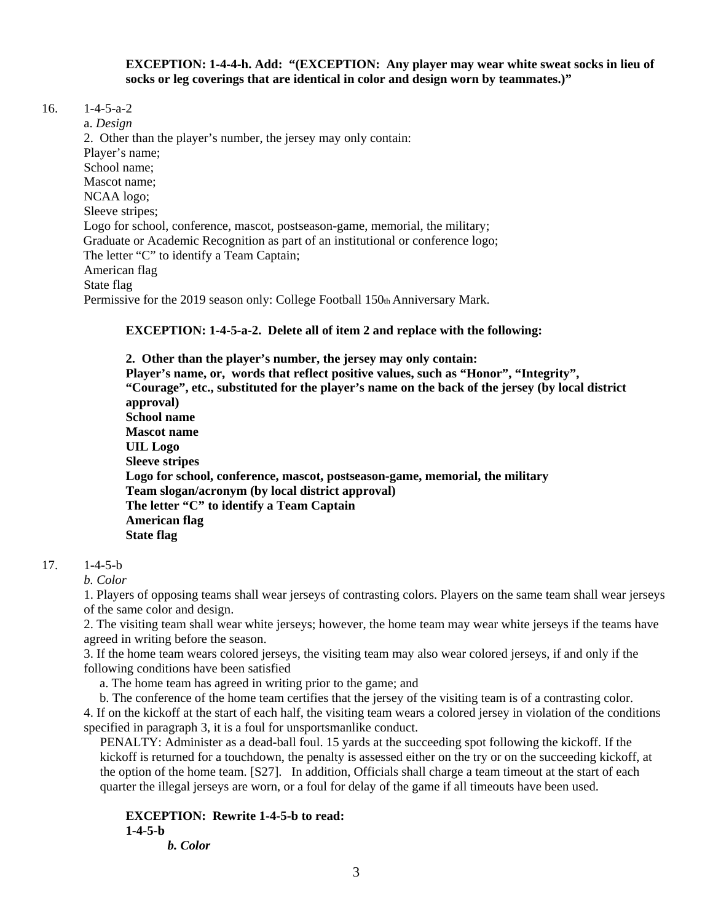#### **EXCEPTION: 1-4-4-h. Add: "(EXCEPTION: Any player may wear white sweat socks in lieu of socks or leg coverings that are identical in color and design worn by teammates.)"**

16. 1-4-5-a-2

 a. *Design*  2. Other than the player's number, the jersey may only contain: Player's name; School name; Mascot name; NCAA logo; Sleeve stripes; Logo for school, conference, mascot, postseason-game, memorial, the military; Graduate or Academic Recognition as part of an institutional or conference logo; The letter "C" to identify a Team Captain; American flag State flag Permissive for the 2019 season only: College Football 150th Anniversary Mark.

**EXCEPTION: 1-4-5-a-2. Delete all of item 2 and replace with the following:** 

**2. Other than the player's number, the jersey may only contain: Player's name, or, words that reflect positive values, such as "Honor", "Integrity", "Courage", etc., substituted for the player's name on the back of the jersey (by local district approval) School name Mascot name UIL Logo Sleeve stripes Logo for school, conference, mascot, postseason-game, memorial, the military Team slogan/acronym (by local district approval) The letter "C" to identify a Team Captain American flag State flag** 

## 17. 1-4-5-b

*b. Color* 

1. Players of opposing teams shall wear jerseys of contrasting colors. Players on the same team shall wear jerseys of the same color and design.

2. The visiting team shall wear white jerseys; however, the home team may wear white jerseys if the teams have agreed in writing before the season.

3. If the home team wears colored jerseys, the visiting team may also wear colored jerseys, if and only if the following conditions have been satisfied

a. The home team has agreed in writing prior to the game; and

b. The conference of the home team certifies that the jersey of the visiting team is of a contrasting color.

4. If on the kickoff at the start of each half, the visiting team wears a colored jersey in violation of the conditions specified in paragraph 3, it is a foul for unsportsmanlike conduct.

 PENALTY: Administer as a dead-ball foul. 15 yards at the succeeding spot following the kickoff. If the kickoff is returned for a touchdown, the penalty is assessed either on the try or on the succeeding kickoff, at the option of the home team. [S27]. In addition, Officials shall charge a team timeout at the start of each quarter the illegal jerseys are worn, or a foul for delay of the game if all timeouts have been used.

**EXCEPTION: Rewrite 1-4-5-b to read: 1-4-5-b** 

*b. Color*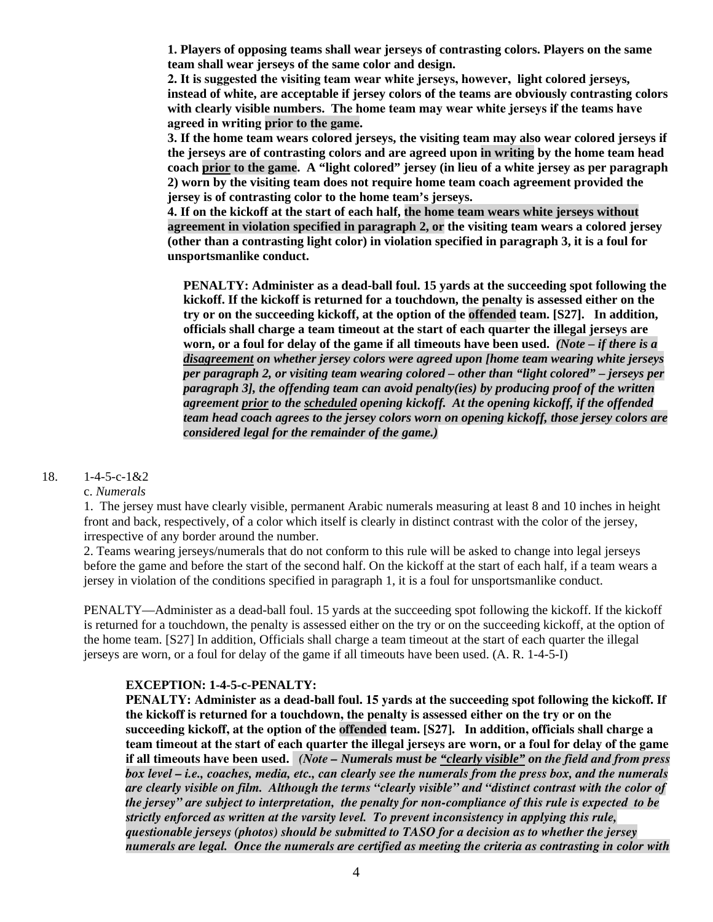**1. Players of opposing teams shall wear jerseys of contrasting colors. Players on the same team shall wear jerseys of the same color and design.** 

**2. It is suggested the visiting team wear white jerseys, however, light colored jerseys, instead of white, are acceptable if jersey colors of the teams are obviously contrasting colors with clearly visible numbers. The home team may wear white jerseys if the teams have agreed in writing prior to the game.** 

**3. If the home team wears colored jerseys, the visiting team may also wear colored jerseys if the jerseys are of contrasting colors and are agreed upon in writing by the home team head coach prior to the game. A "light colored" jersey (in lieu of a white jersey as per paragraph 2) worn by the visiting team does not require home team coach agreement provided the jersey is of contrasting color to the home team's jerseys.** 

**4. If on the kickoff at the start of each half, the home team wears white jerseys without agreement in violation specified in paragraph 2, or the visiting team wears a colored jersey (other than a contrasting light color) in violation specified in paragraph 3, it is a foul for unsportsmanlike conduct.** 

**PENALTY: Administer as a dead-ball foul. 15 yards at the succeeding spot following the kickoff. If the kickoff is returned for a touchdown, the penalty is assessed either on the try or on the succeeding kickoff, at the option of the offended team. [S27]. In addition, officials shall charge a team timeout at the start of each quarter the illegal jerseys are worn, or a foul for delay of the game if all timeouts have been used.** *(Note – if there is a disagreement on whether jersey colors were agreed upon [home team wearing white jerseys per paragraph 2, or visiting team wearing colored – other than "light colored" – jerseys per paragraph 3], the offending team can avoid penalty(ies) by producing proof of the written agreement prior to the scheduled opening kickoff. At the opening kickoff, if the offended team head coach agrees to the jersey colors worn on opening kickoff, those jersey colors are considered legal for the remainder of the game.)* 

#### 18. 1-4-5-c-1&2

c. *Numerals* 

1. The jersey must have clearly visible, permanent Arabic numerals measuring at least 8 and 10 inches in height front and back, respectively, of a color which itself is clearly in distinct contrast with the color of the jersey, irrespective of any border around the number.

2. Teams wearing jerseys/numerals that do not conform to this rule will be asked to change into legal jerseys before the game and before the start of the second half. On the kickoff at the start of each half, if a team wears a jersey in violation of the conditions specified in paragraph 1, it is a foul for unsportsmanlike conduct.

PENALTY—Administer as a dead-ball foul. 15 yards at the succeeding spot following the kickoff. If the kickoff is returned for a touchdown, the penalty is assessed either on the try or on the succeeding kickoff, at the option of the home team. [S27] In addition, Officials shall charge a team timeout at the start of each quarter the illegal jerseys are worn, or a foul for delay of the game if all timeouts have been used. (A. R. 1-4-5-I)

#### **EXCEPTION: 1-4-5-c-PENALTY:**

 **PENALTY: Administer as a dead-ball foul. 15 yards at the succeeding spot following the kickoff. If the kickoff is returned for a touchdown, the penalty is assessed either on the try or on the succeeding kickoff, at the option of the offended team. [S27]. In addition, officials shall charge a team timeout at the start of each quarter the illegal jerseys are worn, or a foul for delay of the game if all timeouts have been used.** *(Note – Numerals must be "clearly visible" on the field and from press box level – i.e., coaches, media, etc., can clearly see the numerals from the press box, and the numerals are clearly visible on film. Although the terms "clearly visible" and "distinct contrast with the color of the jersey" are subject to interpretation, the penalty for non-compliance of this rule is expected to be strictly enforced as written at the varsity level. To prevent inconsistency in applying this rule, questionable jerseys (photos) should be submitted to TASO for a decision as to whether the jersey numerals are legal. Once the numerals are certified as meeting the criteria as contrasting in color with*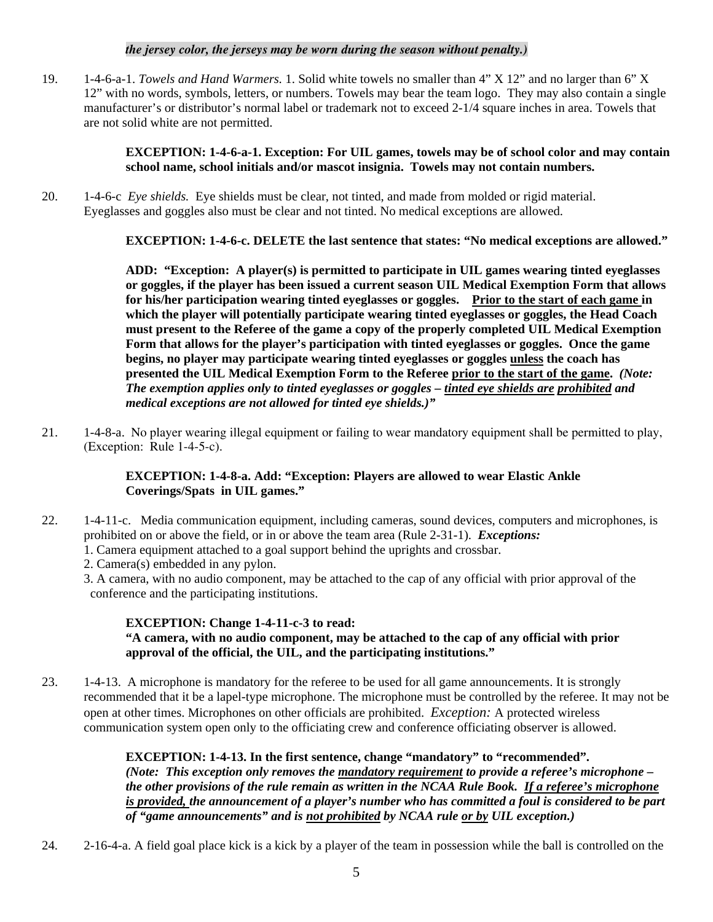#### *the jersey color, the jerseys may be worn during the season without penalty.)*

19. 1-4-6-a-1. *Towels and Hand Warmers.* 1. Solid white towels no smaller than 4" X 12" and no larger than 6" X 12" with no words, symbols, letters, or numbers. Towels may bear the team logo. They may also contain a single manufacturer's or distributor's normal label or trademark not to exceed 2-1/4 square inches in area. Towels that are not solid white are not permitted.

#### **EXCEPTION: 1-4-6-a-1. Exception: For UIL games, towels may be of school color and may contain school name, school initials and/or mascot insignia. Towels may not contain numbers.**

20. 1-4-6-c *Eye shields.* Eye shields must be clear, not tinted, and made from molded or rigid material. Eyeglasses and goggles also must be clear and not tinted. No medical exceptions are allowed.

**EXCEPTION: 1-4-6-c. DELETE the last sentence that states: "No medical exceptions are allowed."** 

**ADD: "Exception: A player(s) is permitted to participate in UIL games wearing tinted eyeglasses or goggles, if the player has been issued a current season UIL Medical Exemption Form that allows for his/her participation wearing tinted eyeglasses or goggles. Prior to the start of each game in which the player will potentially participate wearing tinted eyeglasses or goggles, the Head Coach must present to the Referee of the game a copy of the properly completed UIL Medical Exemption Form that allows for the player's participation with tinted eyeglasses or goggles. Once the game begins, no player may participate wearing tinted eyeglasses or goggles unless the coach has presented the UIL Medical Exemption Form to the Referee prior to the start of the game.** *(Note: The exemption applies only to tinted eyeglasses or goggles – tinted eye shields are prohibited and medical exceptions are not allowed for tinted eye shields.)"* 

21. 1-4-8-a. No player wearing illegal equipment or failing to wear mandatory equipment shall be permitted to play, (Exception: Rule 1-4-5-c).

## **EXCEPTION: 1-4-8-a. Add: "Exception: Players are allowed to wear Elastic Ankle Coverings/Spats in UIL games."**

- 22. 1-4-11-c. Media communication equipment, including cameras, sound devices, computers and microphones, is prohibited on or above the field, or in or above the team area (Rule 2-31-1). *Exceptions:* 
	- 1. Camera equipment attached to a goal support behind the uprights and crossbar.
	- 2. Camera(s) embedded in any pylon.
	- 3. A camera, with no audio component, may be attached to the cap of any official with prior approval of the conference and the participating institutions.

# **EXCEPTION: Change 1-4-11-c-3 to read:**

### **"A camera, with no audio component, may be attached to the cap of any official with prior approval of the official, the UIL, and the participating institutions."**

23. 1-4-13. A microphone is mandatory for the referee to be used for all game announcements. It is strongly recommended that it be a lapel-type microphone. The microphone must be controlled by the referee. It may not be open at other times. Microphones on other officials are prohibited. *Exception:* A protected wireless communication system open only to the officiating crew and conference officiating observer is allowed.

> **EXCEPTION: 1-4-13. In the first sentence, change "mandatory" to "recommended".**  *(Note: This exception only removes the mandatory requirement to provide a referee's microphone – the other provisions of the rule remain as written in the NCAA Rule Book. If a referee's microphone is provided, the announcement of a player's number who has committed a foul is considered to be part of "game announcements" and is not prohibited by NCAA rule or by UIL exception.)*

24. 2-16-4-a. A field goal place kick is a kick by a player of the team in possession while the ball is controlled on the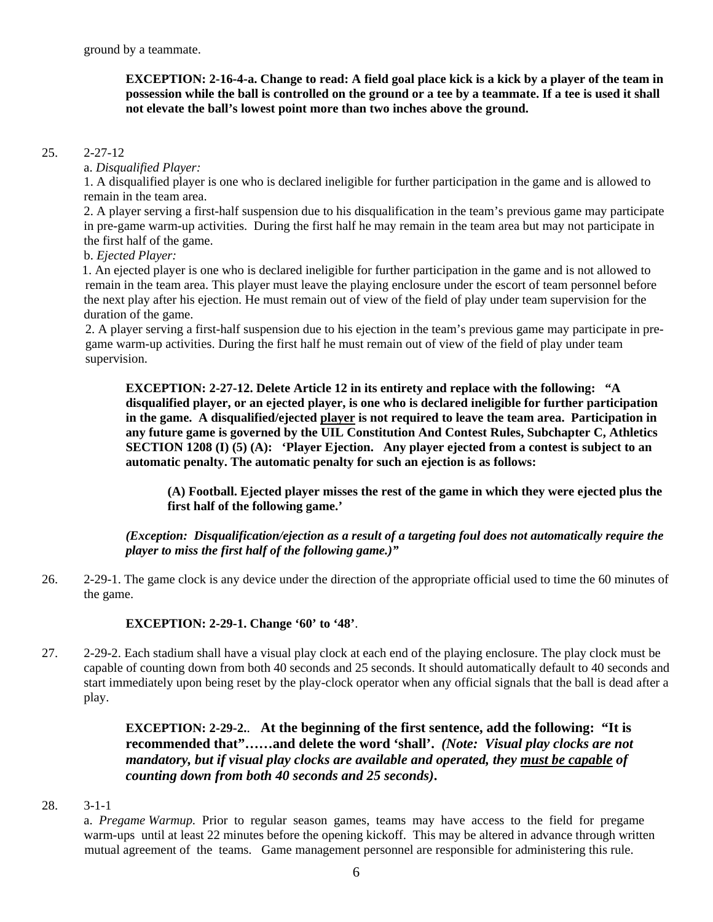**EXCEPTION: 2-16-4-a. Change to read: A field goal place kick is a kick by a player of the team in possession while the ball is controlled on the ground or a tee by a teammate. If a tee is used it shall not elevate the ball's lowest point more than two inches above the ground.** 

#### 25. 2-27-12

#### a. *Disqualified Player:*

1. A disqualified player is one who is declared ineligible for further participation in the game and is allowed to remain in the team area.

2. A player serving a first-half suspension due to his disqualification in the team's previous game may participate in pre-game warm-up activities. During the first half he may remain in the team area but may not participate in the first half of the game.

#### b. *Ejected Player:*

 1. An ejected player is one who is declared ineligible for further participation in the game and is not allowed to remain in the team area. This player must leave the playing enclosure under the escort of team personnel before the next play after his ejection. He must remain out of view of the field of play under team supervision for the duration of the game.

 2. A player serving a first-half suspension due to his ejection in the team's previous game may participate in pre game warm-up activities. During the first half he must remain out of view of the field of play under team supervision.

**EXCEPTION: 2-27-12. Delete Article 12 in its entirety and replace with the following: "A disqualified player, or an ejected player, is one who is declared ineligible for further participation in the game. A disqualified/ejected player is not required to leave the team area. Participation in any future game is governed by the UIL Constitution And Contest Rules, Subchapter C, Athletics SECTION 1208 (I) (5) (A): 'Player Ejection. Any player ejected from a contest is subject to an automatic penalty. The automatic penalty for such an ejection is as follows:** 

**(A) Football. Ejected player misses the rest of the game in which they were ejected plus the first half of the following game.'** 

*(Exception: Disqualification/ejection as a result of a targeting foul does not automatically require the player to miss the first half of the following game.)"* 

26. 2-29-1. The game clock is any device under the direction of the appropriate official used to time the 60 minutes of the game.

#### **EXCEPTION: 2-29-1. Change '60' to '48'**.

27. 2-29-2. Each stadium shall have a visual play clock at each end of the playing enclosure. The play clock must be capable of counting down from both 40 seconds and 25 seconds. It should automatically default to 40 seconds and start immediately upon being reset by the play-clock operator when any official signals that the ball is dead after a play.

> **EXCEPTION: 2-29-2.**. **At the beginning of the first sentence, add the following: "It is recommended that"……and delete the word 'shall'.** *(Note: Visual play clocks are not mandatory, but if visual play clocks are available and operated, they must be capable of counting down from both 40 seconds and 25 seconds)***.**

#### 28. 3-1-1

a. *Pregame Warmup.* Prior to regular season games, teams may have access to the field for pregame warm-ups until at least 22 minutes before the opening kickoff. This may be altered in advance through written mutual agreement of the teams. Game management personnel are responsible for administering this rule.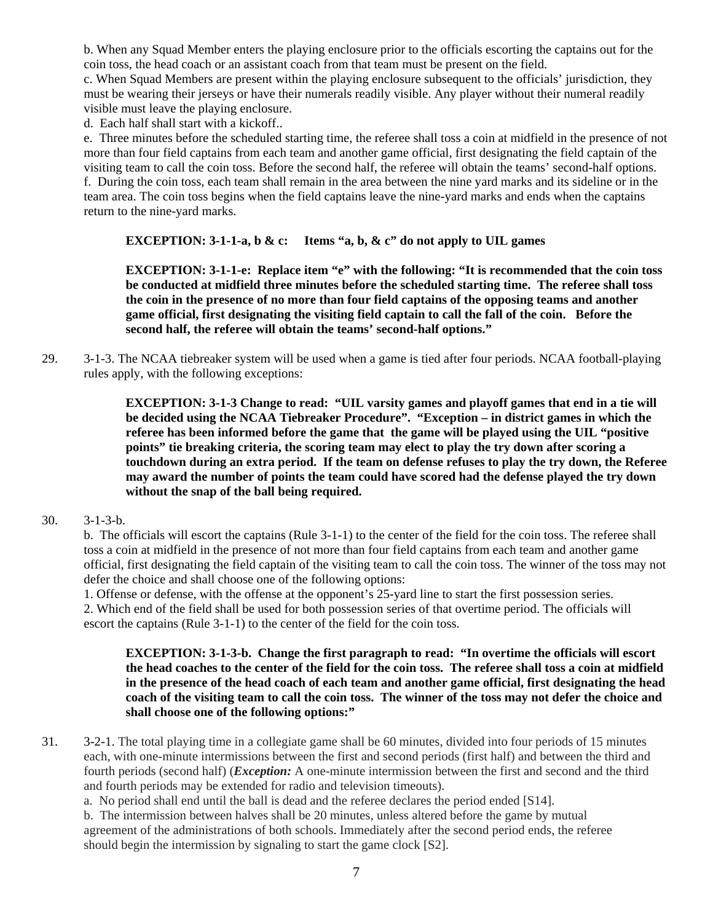b. When any Squad Member enters the playing enclosure prior to the officials escorting the captains out for the coin toss, the head coach or an assistant coach from that team must be present on the field.

c. When Squad Members are present within the playing enclosure subsequent to the officials' jurisdiction, they must be wearing their jerseys or have their numerals readily visible. Any player without their numeral readily visible must leave the playing enclosure.

d. Each half shall start with a kickoff..

e. Three minutes before the scheduled starting time, the referee shall toss a coin at midfield in the presence of not more than four field captains from each team and another game official, first designating the field captain of the visiting team to call the coin toss. Before the second half, the referee will obtain the teams' second-half options. f. During the coin toss, each team shall remain in the area between the nine yard marks and its sideline or in the team area. The coin toss begins when the field captains leave the nine-yard marks and ends when the captains return to the nine-yard marks.

## **EXCEPTION: 3-1-1-a, b & c: Items "a, b, & c" do not apply to UIL games**

**EXCEPTION: 3-1-1-e: Replace item "e" with the following: "It is recommended that the coin toss be conducted at midfield three minutes before the scheduled starting time. The referee shall toss the coin in the presence of no more than four field captains of the opposing teams and another game official, first designating the visiting field captain to call the fall of the coin. Before the second half, the referee will obtain the teams' second-half options."** 

29. 3-1-3. The NCAA tiebreaker system will be used when a game is tied after four periods. NCAA football-playing rules apply, with the following exceptions:

> **EXCEPTION: 3-1-3 Change to read: "UIL varsity games and playoff games that end in a tie will be decided using the NCAA Tiebreaker Procedure". "Exception – in district games in which the referee has been informed before the game that the game will be played using the UIL "positive points" tie breaking criteria, the scoring team may elect to play the try down after scoring a touchdown during an extra period. If the team on defense refuses to play the try down, the Referee may award the number of points the team could have scored had the defense played the try down without the snap of the ball being required.**

#### 30. 3-1-3-b.

b. The officials will escort the captains (Rule 3-1-1) to the center of the field for the coin toss. The referee shall toss a coin at midfield in the presence of not more than four field captains from each team and another game official, first designating the field captain of the visiting team to call the coin toss. The winner of the toss may not defer the choice and shall choose one of the following options:

1. Offense or defense, with the offense at the opponent's 25-yard line to start the first possession series. 2. Which end of the field shall be used for both possession series of that overtime period. The officials will escort the captains (Rule 3-1-1) to the center of the field for the coin toss.

#### **EXCEPTION: 3-1-3-b. Change the first paragraph to read: "In overtime the officials will escort the head coaches to the center of the field for the coin toss. The referee shall toss a coin at midfield in the presence of the head coach of each team and another game official, first designating the head coach of the visiting team to call the coin toss. The winner of the toss may not defer the choice and shall choose one of the following options:"**

31. 3-2-1. The total playing time in a collegiate game shall be 60 minutes, divided into four periods of 15 minutes each, with one-minute intermissions between the first and second periods (first half) and between the third and fourth periods (second half) (*Exception:* A one-minute intermission between the first and second and the third and fourth periods may be extended for radio and television timeouts).

a. No period shall end until the ball is dead and the referee declares the period ended [S14].

b. The intermission between halves shall be 20 minutes, unless altered before the game by mutual agreement of the administrations of both schools. Immediately after the second period ends, the referee should begin the intermission by signaling to start the game clock [S2].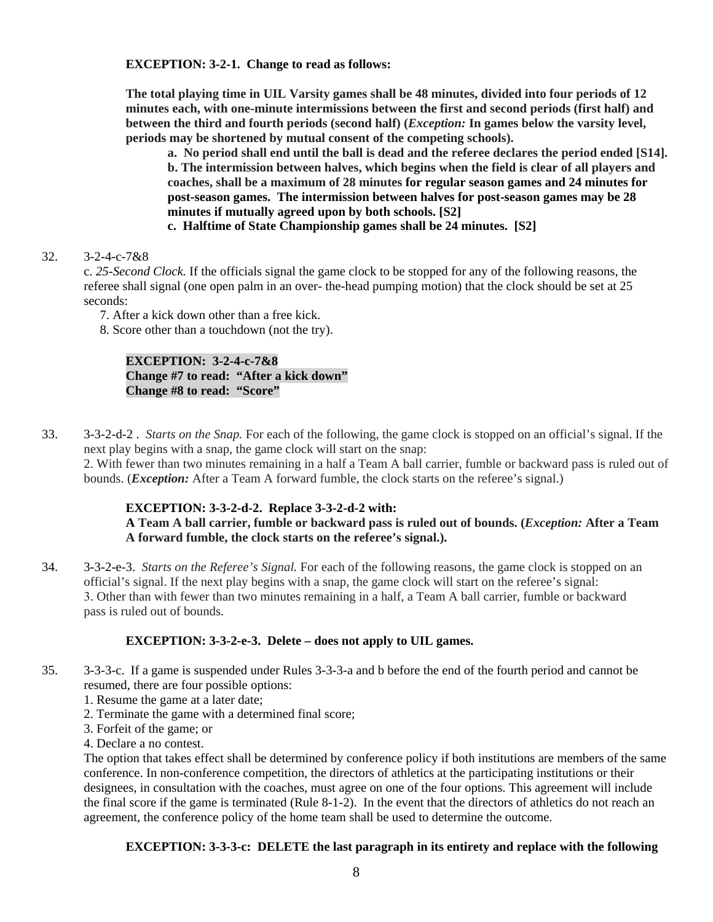**EXCEPTION: 3-2-1. Change to read as follows:** 

**The total playing time in UIL Varsity games shall be 48 minutes, divided into four periods of 12 minutes each, with one-minute intermissions between the first and second periods (first half) and between the third and fourth periods (second half) (***Exception:* **In games below the varsity level, periods may be shortened by mutual consent of the competing schools).** 

**a. No period shall end until the ball is dead and the referee declares the period ended [S14]. b. The intermission between halves, which begins when the field is clear of all players and coaches, shall be a maximum of 28 minutes for regular season games and 24 minutes for post-season games. The intermission between halves for post-season games may be 28 minutes if mutually agreed upon by both schools. [S2]** 

**c. Halftime of State Championship games shall be 24 minutes. [S2]**

32. 3-2-4-c-7&8

c. *25-Second Clock.* If the officials signal the game clock to be stopped for any of the following reasons, the referee shall signal (one open palm in an over- the-head pumping motion) that the clock should be set at 25 seconds:

7. After a kick down other than a free kick.

8. Score other than a touchdown (not the try).

### **EXCEPTION: 3-2-4-c-7&8 Change #7 to read: "After a kick down" Change #8 to read: "Score"**

33. 3-3-2-d-2 . *Starts on the Snap.* For each of the following, the game clock is stopped on an official's signal. If the next play begins with a snap, the game clock will start on the snap:

2. With fewer than two minutes remaining in a half a Team A ball carrier, fumble or backward pass is ruled out of bounds. (*Exception:* After a Team A forward fumble, the clock starts on the referee's signal.)

## **EXCEPTION: 3-3-2-d-2. Replace 3-3-2-d-2 with:**

**A Team A ball carrier, fumble or backward pass is ruled out of bounds. (***Exception:* **After a Team A forward fumble, the clock starts on the referee's signal.).** 

34. 3-3-2-e-3. *Starts on the Referee's Signal.* For each of the following reasons, the game clock is stopped on an official's signal. If the next play begins with a snap, the game clock will start on the referee's signal: 3. Other than with fewer than two minutes remaining in a half, a Team A ball carrier, fumble or backward pass is ruled out of bounds.

## **EXCEPTION: 3-3-2-e-3. Delete – does not apply to UIL games.**

- 35. 3-3-3-c. If a game is suspended under Rules 3-3-3-a and b before the end of the fourth period and cannot be resumed, there are four possible options:
	- 1. Resume the game at a later date;
	- 2. Terminate the game with a determined final score;
	- 3. Forfeit of the game; or
	- 4. Declare a no contest.

The option that takes effect shall be determined by conference policy if both institutions are members of the same conference. In non-conference competition, the directors of athletics at the participating institutions or their designees, in consultation with the coaches, must agree on one of the four options. This agreement will include the final score if the game is terminated (Rule 8-1-2). In the event that the directors of athletics do not reach an agreement, the conference policy of the home team shall be used to determine the outcome.

## **EXCEPTION: 3-3-3-c: DELETE the last paragraph in its entirety and replace with the following**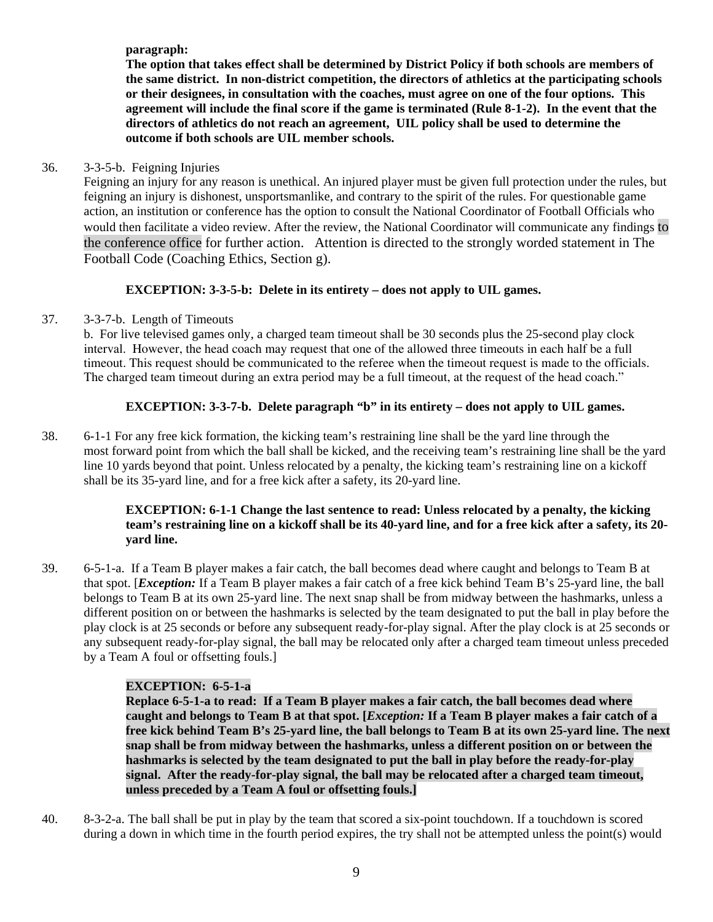**paragraph:** 

**The option that takes effect shall be determined by District Policy if both schools are members of the same district. In non-district competition, the directors of athletics at the participating schools or their designees, in consultation with the coaches, must agree on one of the four options. This agreement will include the final score if the game is terminated (Rule 8-1-2). In the event that the directors of athletics do not reach an agreement, UIL policy shall be used to determine the outcome if both schools are UIL member schools.**

## 36. 3-3-5-b. Feigning Injuries

Feigning an injury for any reason is unethical. An injured player must be given full protection under the rules, but feigning an injury is dishonest, unsportsmanlike, and contrary to the spirit of the rules. For questionable game action, an institution or conference has the option to consult the National Coordinator of Football Officials who would then facilitate a video review. After the review, the National Coordinator will communicate any findings to the conference office for further action. Attention is directed to the strongly worded statement in The Football Code (Coaching Ethics, Section g).

## **EXCEPTION: 3-3-5-b: Delete in its entirety – does not apply to UIL games.**

## 37. 3-3-7-b. Length of Timeouts

 b. For live televised games only, a charged team timeout shall be 30 seconds plus the 25-second play clock interval. However, the head coach may request that one of the allowed three timeouts in each half be a full timeout. This request should be communicated to the referee when the timeout request is made to the officials. The charged team timeout during an extra period may be a full timeout, at the request of the head coach."

## **EXCEPTION: 3-3-7-b. Delete paragraph "b" in its entirety – does not apply to UIL games.**

38. 6-1-1 For any free kick formation, the kicking team's restraining line shall be the yard line through the most forward point from which the ball shall be kicked, and the receiving team's restraining line shall be the yard line 10 yards beyond that point. Unless relocated by a penalty, the kicking team's restraining line on a kickoff shall be its 35-yard line, and for a free kick after a safety, its 20-yard line.

### **EXCEPTION: 6-1-1 Change the last sentence to read: Unless relocated by a penalty, the kicking team's restraining line on a kickoff shall be its 40-yard line, and for a free kick after a safety, its 20 yard line.**

39. 6-5-1-a. If a Team B player makes a fair catch, the ball becomes dead where caught and belongs to Team B at that spot. [*Exception:* If a Team B player makes a fair catch of a free kick behind Team B's 25-yard line, the ball belongs to Team B at its own 25-yard line. The next snap shall be from midway between the hashmarks, unless a different position on or between the hashmarks is selected by the team designated to put the ball in play before the play clock is at 25 seconds or before any subsequent ready-for-play signal. After the play clock is at 25 seconds or any subsequent ready-for-play signal, the ball may be relocated only after a charged team timeout unless preceded by a Team A foul or offsetting fouls.]

## **EXCEPTION: 6-5-1-a**

**Replace 6-5-1-a to read: If a Team B player makes a fair catch, the ball becomes dead where caught and belongs to Team B at that spot. [***Exception:* **If a Team B player makes a fair catch of a free kick behind Team B's 25-yard line, the ball belongs to Team B at its own 25-yard line. The next snap shall be from midway between the hashmarks, unless a different position on or between the hashmarks is selected by the team designated to put the ball in play before the ready-for-play signal. After the ready-for-play signal, the ball may be relocated after a charged team timeout, unless preceded by a Team A foul or offsetting fouls.]**

40. 8-3-2-a. The ball shall be put in play by the team that scored a six-point touchdown. If a touchdown is scored during a down in which time in the fourth period expires, the try shall not be attempted unless the point(s) would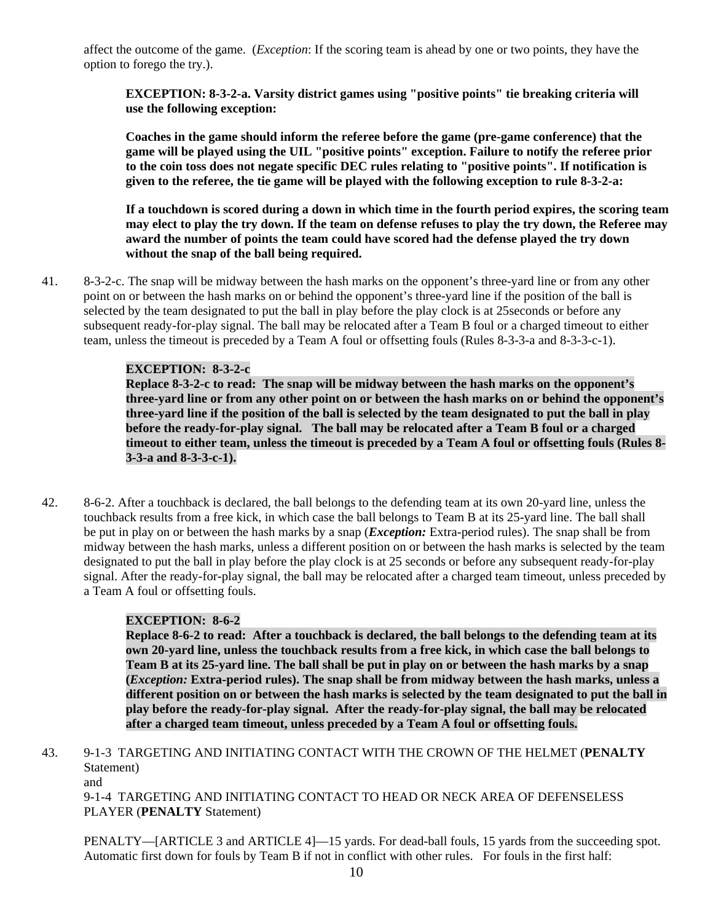affect the outcome of the game. (*Exception*: If the scoring team is ahead by one or two points, they have the option to forego the try.).

**EXCEPTION: 8-3-2-a. Varsity district games using "positive points" tie breaking criteria will use the following exception:** 

**Coaches in the game should inform the referee before the game (pre-game conference) that the game will be played using the UIL "positive points" exception. Failure to notify the referee prior to the coin toss does not negate specific DEC rules relating to "positive points". If notification is given to the referee, the tie game will be played with the following exception to rule 8-3-2-a:** 

**If a touchdown is scored during a down in which time in the fourth period expires, the scoring team may elect to play the try down. If the team on defense refuses to play the try down, the Referee may award the number of points the team could have scored had the defense played the try down without the snap of the ball being required.** 

41. 8-3-2-c. The snap will be midway between the hash marks on the opponent's three-yard line or from any other point on or between the hash marks on or behind the opponent's three-yard line if the position of the ball is selected by the team designated to put the ball in play before the play clock is at 25seconds or before any subsequent ready-for-play signal. The ball may be relocated after a Team B foul or a charged timeout to either team, unless the timeout is preceded by a Team A foul or offsetting fouls (Rules 8-3-3-a and 8-3-3-c-1).

### **EXCEPTION: 8-3-2-c**

**Replace 8-3-2-c to read: The snap will be midway between the hash marks on the opponent's three-yard line or from any other point on or between the hash marks on or behind the opponent's three-yard line if the position of the ball is selected by the team designated to put the ball in play before the ready-for-play signal. The ball may be relocated after a Team B foul or a charged timeout to either team, unless the timeout is preceded by a Team A foul or offsetting fouls (Rules 8- 3-3-a and 8-3-3-c-1).** 

42. 8-6-2. After a touchback is declared, the ball belongs to the defending team at its own 20-yard line, unless the touchback results from a free kick, in which case the ball belongs to Team B at its 25-yard line. The ball shall be put in play on or between the hash marks by a snap (*Exception:* Extra-period rules). The snap shall be from midway between the hash marks, unless a different position on or between the hash marks is selected by the team designated to put the ball in play before the play clock is at 25 seconds or before any subsequent ready-for-play signal. After the ready-for-play signal, the ball may be relocated after a charged team timeout, unless preceded by a Team A foul or offsetting fouls.

#### **EXCEPTION: 8-6-2**

**Replace 8-6-2 to read: After a touchback is declared, the ball belongs to the defending team at its own 20-yard line, unless the touchback results from a free kick, in which case the ball belongs to Team B at its 25-yard line. The ball shall be put in play on or between the hash marks by a snap (***Exception:* **Extra-period rules). The snap shall be from midway between the hash marks, unless a different position on or between the hash marks is selected by the team designated to put the ball in play before the ready-for-play signal. After the ready-for-play signal, the ball may be relocated after a charged team timeout, unless preceded by a Team A foul or offsetting fouls.** 

43. 9-1-3 TARGETING AND INITIATING CONTACT WITH THE CROWN OF THE HELMET (**PENALTY** Statement)

and

9-1-4 TARGETING AND INITIATING CONTACT TO HEAD OR NECK AREA OF DEFENSELESS PLAYER (**PENALTY** Statement)

PENALTY—[ARTICLE 3 and ARTICLE 4]—15 yards. For dead-ball fouls, 15 yards from the succeeding spot. Automatic first down for fouls by Team B if not in conflict with other rules. For fouls in the first half: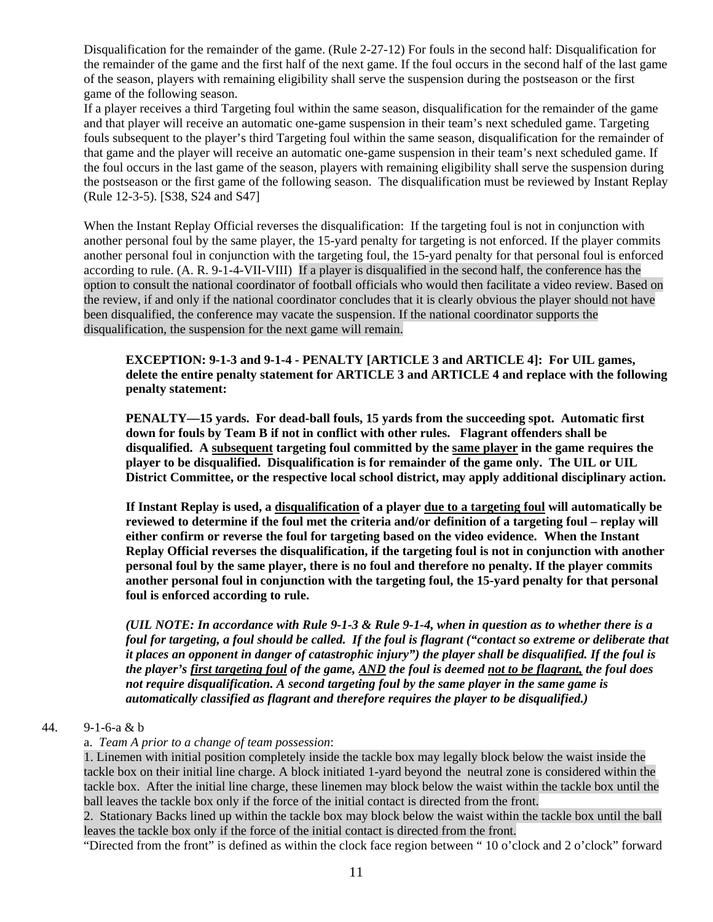Disqualification for the remainder of the game. (Rule 2-27-12) For fouls in the second half: Disqualification for the remainder of the game and the first half of the next game. If the foul occurs in the second half of the last game of the season, players with remaining eligibility shall serve the suspension during the postseason or the first game of the following season.

If a player receives a third Targeting foul within the same season, disqualification for the remainder of the game and that player will receive an automatic one-game suspension in their team's next scheduled game. Targeting fouls subsequent to the player's third Targeting foul within the same season, disqualification for the remainder of that game and the player will receive an automatic one-game suspension in their team's next scheduled game. If the foul occurs in the last game of the season, players with remaining eligibility shall serve the suspension during the postseason or the first game of the following season. The disqualification must be reviewed by Instant Replay (Rule 12-3-5). [S38, S24 and S47]

When the Instant Replay Official reverses the disqualification: If the targeting foul is not in conjunction with another personal foul by the same player, the 15-yard penalty for targeting is not enforced. If the player commits another personal foul in conjunction with the targeting foul, the 15-yard penalty for that personal foul is enforced according to rule. (A. R. 9-1-4-VII-VIII) If a player is disqualified in the second half, the conference has the option to consult the national coordinator of football officials who would then facilitate a video review. Based on the review, if and only if the national coordinator concludes that it is clearly obvious the player should not have been disqualified, the conference may vacate the suspension. If the national coordinator supports the disqualification, the suspension for the next game will remain.

#### **EXCEPTION: 9-1-3 and 9-1-4 - PENALTY [ARTICLE 3 and ARTICLE 4]: For UIL games, delete the entire penalty statement for ARTICLE 3 and ARTICLE 4 and replace with the following penalty statement:**

**PENALTY—15 yards. For dead-ball fouls, 15 yards from the succeeding spot. Automatic first down for fouls by Team B if not in conflict with other rules. Flagrant offenders shall be disqualified. A subsequent targeting foul committed by the same player in the game requires the player to be disqualified. Disqualification is for remainder of the game only. The UIL or UIL District Committee, or the respective local school district, may apply additional disciplinary action.** 

**If Instant Replay is used, a disqualification of a player due to a targeting foul will automatically be reviewed to determine if the foul met the criteria and/or definition of a targeting foul – replay will either confirm or reverse the foul for targeting based on the video evidence. When the Instant Replay Official reverses the disqualification, if the targeting foul is not in conjunction with another personal foul by the same player, there is no foul and therefore no penalty. If the player commits another personal foul in conjunction with the targeting foul, the 15-yard penalty for that personal foul is enforced according to rule.** 

*(UIL NOTE: In accordance with Rule 9-1-3 & Rule 9-1-4, when in question as to whether there is a foul for targeting, a foul should be called. If the foul is flagrant ("contact so extreme or deliberate that it places an opponent in danger of catastrophic injury") the player shall be disqualified. If the foul is the player's first targeting foul of the game, AND the foul is deemed not to be flagrant, the foul does not require disqualification. A second targeting foul by the same player in the same game is automatically classified as flagrant and therefore requires the player to be disqualified.)* 

#### 44. 9-1-6-a & b

#### a. *Team A prior to a change of team possession*:

1. Linemen with initial position completely inside the tackle box may legally block below the waist inside the tackle box on their initial line charge. A block initiated 1-yard beyond the neutral zone is considered within the tackle box. After the initial line charge, these linemen may block below the waist within the tackle box until the ball leaves the tackle box only if the force of the initial contact is directed from the front.

2. Stationary Backs lined up within the tackle box may block below the waist within the tackle box until the ball leaves the tackle box only if the force of the initial contact is directed from the front.

"Directed from the front" is defined as within the clock face region between " 10 o'clock and 2 o'clock" forward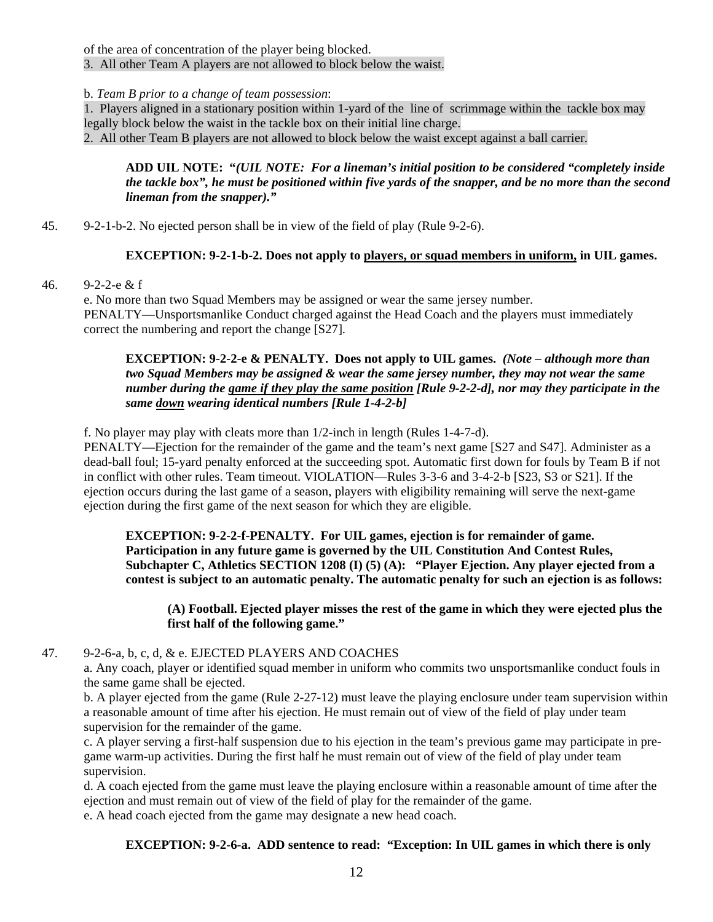of the area of concentration of the player being blocked.

3. All other Team A players are not allowed to block below the waist.

b. *Team B prior to a change of team possession*:

1. Players aligned in a stationary position within 1-yard of the line of scrimmage within the tackle box may legally block below the waist in the tackle box on their initial line charge.

2. All other Team B players are not allowed to block below the waist except against a ball carrier.

### **ADD UIL NOTE: "***(UIL NOTE: For a lineman's initial position to be considered "completely inside the tackle box", he must be positioned within five yards of the snapper, and be no more than the second lineman from the snapper)."*

45. 9-2-1-b-2. No ejected person shall be in view of the field of play (Rule 9-2-6).

## **EXCEPTION: 9-2-1-b-2. Does not apply to players, or squad members in uniform, in UIL games.**

46. 9-2-2-e & f

e. No more than two Squad Members may be assigned or wear the same jersey number. PENALTY—Unsportsmanlike Conduct charged against the Head Coach and the players must immediately correct the numbering and report the change [S27].

**EXCEPTION: 9-2-2-e & PENALTY. Does not apply to UIL games.** *(Note – although more than two Squad Members may be assigned & wear the same jersey number, they may not wear the same number during the game if they play the same position [Rule 9-2-2-d], nor may they participate in the same down wearing identical numbers [Rule 1-4-2-b]* 

f. No player may play with cleats more than 1/2-inch in length (Rules 1-4-7-d).

 PENALTY—Ejection for the remainder of the game and the team's next game [S27 and S47]. Administer as a dead-ball foul; 15-yard penalty enforced at the succeeding spot. Automatic first down for fouls by Team B if not in conflict with other rules. Team timeout. VIOLATION—Rules 3-3-6 and 3-4-2-b [S23, S3 or S21]. If the ejection occurs during the last game of a season, players with eligibility remaining will serve the next-game ejection during the first game of the next season for which they are eligible.

**EXCEPTION: 9-2-2-f-PENALTY. For UIL games, ejection is for remainder of game. Participation in any future game is governed by the UIL Constitution And Contest Rules, Subchapter C, Athletics SECTION 1208 (I) (5) (A): "Player Ejection. Any player ejected from a contest is subject to an automatic penalty. The automatic penalty for such an ejection is as follows:** 

**(A) Football. Ejected player misses the rest of the game in which they were ejected plus the first half of the following game."** 

## 47. 9-2-6-a, b, c, d, & e. EJECTED PLAYERS AND COACHES

a. Any coach, player or identified squad member in uniform who commits two unsportsmanlike conduct fouls in the same game shall be ejected.

b. A player ejected from the game (Rule 2-27-12) must leave the playing enclosure under team supervision within a reasonable amount of time after his ejection. He must remain out of view of the field of play under team supervision for the remainder of the game.

c. A player serving a first-half suspension due to his ejection in the team's previous game may participate in pregame warm-up activities. During the first half he must remain out of view of the field of play under team supervision.

 d. A coach ejected from the game must leave the playing enclosure within a reasonable amount of time after the ejection and must remain out of view of the field of play for the remainder of the game. e. A head coach ejected from the game may designate a new head coach.

**EXCEPTION: 9-2-6-a. ADD sentence to read: "Exception: In UIL games in which there is only**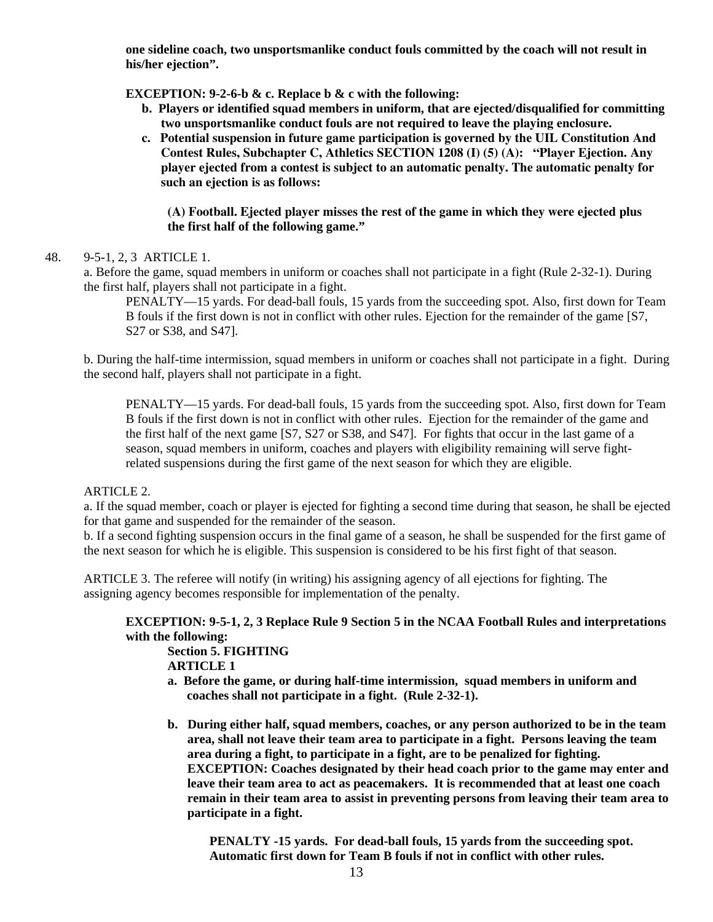**one sideline coach, two unsportsmanlike conduct fouls committed by the coach will not result in his/her ejection".** 

**EXCEPTION: 9-2-6-b & c. Replace b & c with the following:** 

- **b. Players or identified squad members in uniform, that are ejected/disqualified for committing two unsportsmanlike conduct fouls are not required to leave the playing enclosure.**
- **c. Potential suspension in future game participation is governed by the UIL Constitution And Contest Rules, Subchapter C, Athletics SECTION 1208 (I) (5) (A): "Player Ejection. Any player ejected from a contest is subject to an automatic penalty. The automatic penalty for such an ejection is as follows:**

**(A) Football. Ejected player misses the rest of the game in which they were ejected plus the first half of the following game."** 

48. 9-5-1, 2, 3 ARTICLE 1.

a. Before the game, squad members in uniform or coaches shall not participate in a fight (Rule 2-32-1). During the first half, players shall not participate in a fight.

PENALTY—15 yards. For dead-ball fouls, 15 yards from the succeeding spot. Also, first down for Team B fouls if the first down is not in conflict with other rules. Ejection for the remainder of the game [S7, S27 or S38, and S47].

b. During the half-time intermission, squad members in uniform or coaches shall not participate in a fight. During the second half, players shall not participate in a fight.

PENALTY—15 yards. For dead-ball fouls, 15 yards from the succeeding spot. Also, first down for Team B fouls if the first down is not in conflict with other rules. Ejection for the remainder of the game and the first half of the next game [S7, S27 or S38, and S47]. For fights that occur in the last game of a season, squad members in uniform, coaches and players with eligibility remaining will serve fightrelated suspensions during the first game of the next season for which they are eligible.

#### ARTICLE 2.

a. If the squad member, coach or player is ejected for fighting a second time during that season, he shall be ejected for that game and suspended for the remainder of the season.

b. If a second fighting suspension occurs in the final game of a season, he shall be suspended for the first game of the next season for which he is eligible. This suspension is considered to be his first fight of that season.

ARTICLE 3. The referee will notify (in writing) his assigning agency of all ejections for fighting. The assigning agency becomes responsible for implementation of the penalty.

## **EXCEPTION: 9-5-1, 2, 3 Replace Rule 9 Section 5 in the NCAA Football Rules and interpretations with the following:**

**Section 5. FIGHTING ARTICLE 1** 

- **a. Before the game, or during half-time intermission, squad members in uniform and coaches shall not participate in a fight. (Rule 2-32-1).**
- **b. During either half, squad members, coaches, or any person authorized to be in the team area, shall not leave their team area to participate in a fight. Persons leaving the team area during a fight, to participate in a fight, are to be penalized for fighting. EXCEPTION: Coaches designated by their head coach prior to the game may enter and leave their team area to act as peacemakers. It is recommended that at least one coach remain in their team area to assist in preventing persons from leaving their team area to participate in a fight.**

 **PENALTY -15 yards. For dead-ball fouls, 15 yards from the succeeding spot. Automatic first down for Team B fouls if not in conflict with other rules.**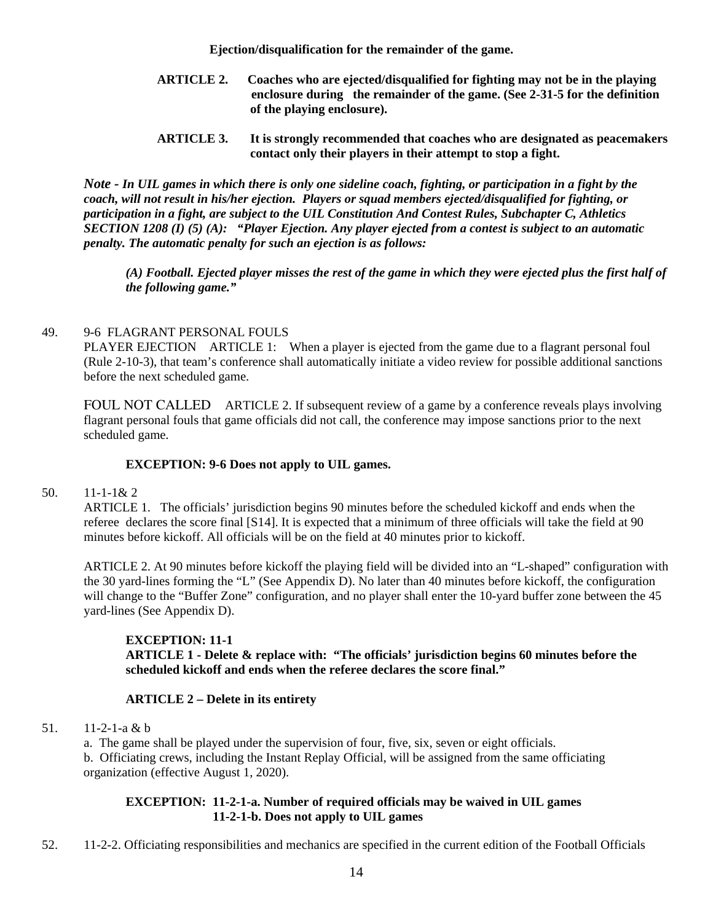**Ejection/disqualification for the remainder of the game.** 

- **ARTICLE 2. Coaches who are ejected/disqualified for fighting may not be in the playing enclosure during the remainder of the game. (See 2-31-5 for the definition of the playing enclosure).**
- **ARTICLE 3. It is strongly recommended that coaches who are designated as peacemakers contact only their players in their attempt to stop a fight.**

*Note - In UIL games in which there is only one sideline coach, fighting, or participation in a fight by the coach, will not result in his/her ejection. Players or squad members ejected/disqualified for fighting, or participation in a fight, are subject to the UIL Constitution And Contest Rules, Subchapter C, Athletics SECTION 1208 (I) (5) (A): "Player Ejection. Any player ejected from a contest is subject to an automatic penalty. The automatic penalty for such an ejection is as follows:* 

*(A) Football. Ejected player misses the rest of the game in which they were ejected plus the first half of the following game."* 

### 49. 9-6 FLAGRANT PERSONAL FOULS

PLAYER EJECTION ARTICLE 1: When a player is ejected from the game due to a flagrant personal foul (Rule 2-10-3), that team's conference shall automatically initiate a video review for possible additional sanctions before the next scheduled game.

FOUL NOT CALLED ARTICLE 2. If subsequent review of a game by a conference reveals plays involving flagrant personal fouls that game officials did not call, the conference may impose sanctions prior to the next scheduled game.

### **EXCEPTION: 9-6 Does not apply to UIL games.**

#### 50. 11-1-1& 2

 ARTICLE 1. The officials' jurisdiction begins 90 minutes before the scheduled kickoff and ends when the referee declares the score final [S14]. It is expected that a minimum of three officials will take the field at 90 minutes before kickoff. All officials will be on the field at 40 minutes prior to kickoff.

ARTICLE 2. At 90 minutes before kickoff the playing field will be divided into an "L-shaped" configuration with the 30 yard-lines forming the "L" (See Appendix D). No later than 40 minutes before kickoff, the configuration will change to the "Buffer Zone" configuration, and no player shall enter the 10-yard buffer zone between the 45 yard-lines (See Appendix D).

## **EXCEPTION: 11-1**

**ARTICLE 1 - Delete & replace with: "The officials' jurisdiction begins 60 minutes before the scheduled kickoff and ends when the referee declares the score final."** 

#### **ARTICLE 2 – Delete in its entirety**

51. 11-2-1-a & b

a. The game shall be played under the supervision of four, five, six, seven or eight officials. b. Officiating crews, including the Instant Replay Official, will be assigned from the same officiating organization (effective August 1, 2020).

### **EXCEPTION: 11-2-1-a. Number of required officials may be waived in UIL games 11-2-1-b. Does not apply to UIL games**

52. 11-2-2. Officiating responsibilities and mechanics are specified in the current edition of the Football Officials